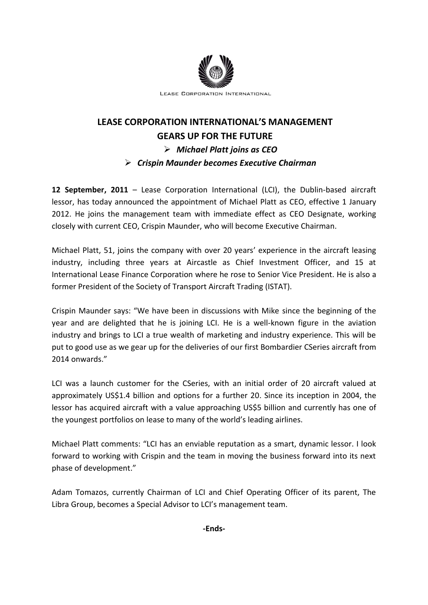

## **LEASE CORPORATION INTERNATIONAL'S MANAGEMENT GEARS UP FOR THE FUTURE** *Michael Platt joins as CEO Crispin Maunder becomes Executive Chairman*

**12 September, 2011** – Lease Corporation International (LCI), the Dublin-based aircraft lessor, has today announced the appointment of Michael Platt as CEO, effective 1 January 2012. He joins the management team with immediate effect as CEO Designate, working closely with current CEO, Crispin Maunder, who will become Executive Chairman.

Michael Platt, 51, joins the company with over 20 years' experience in the aircraft leasing industry, including three years at Aircastle as Chief Investment Officer, and 15 at International Lease Finance Corporation where he rose to Senior Vice President. He is also a former President of the Society of Transport Aircraft Trading (ISTAT).

Crispin Maunder says: "We have been in discussions with Mike since the beginning of the year and are delighted that he is joining LCI. He is a well-known figure in the aviation industry and brings to LCI a true wealth of marketing and industry experience. This will be put to good use as we gear up for the deliveries of our first Bombardier CSeries aircraft from 2014 onwards."

LCI was a launch customer for the CSeries, with an initial order of 20 aircraft valued at approximately US\$1.4 billion and options for a further 20. Since its inception in 2004, the lessor has acquired aircraft with a value approaching US\$5 billion and currently has one of the youngest portfolios on lease to many of the world's leading airlines.

Michael Platt comments: "LCI has an enviable reputation as a smart, dynamic lessor. I look forward to working with Crispin and the team in moving the business forward into its next phase of development."

Adam Tomazos, currently Chairman of LCI and Chief Operating Officer of its parent, The Libra Group, becomes a Special Advisor to LCI's management team.

**-Ends-**